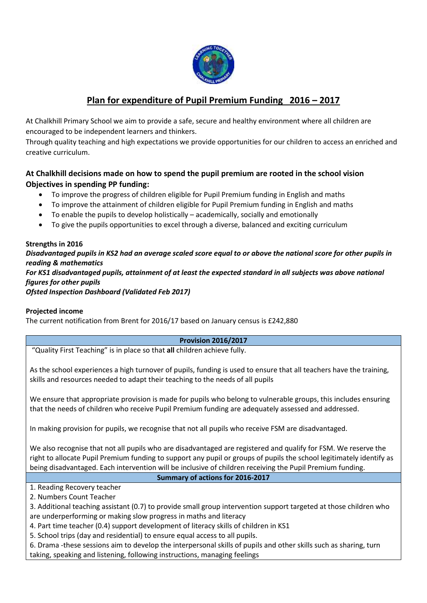

## **Plan for expenditure of Pupil Premium Funding 2016 – 2017**

At Chalkhill Primary School we aim to provide a safe, secure and healthy environment where all children are encouraged to be independent learners and thinkers.

Through quality teaching and high expectations we provide opportunities for our children to access an enriched and creative curriculum.

### **At Chalkhill decisions made on how to spend the pupil premium are rooted in the school vision Objectives in spending PP funding:**

- To improve the progress of children eligible for Pupil Premium funding in English and maths
- To improve the attainment of children eligible for Pupil Premium funding in English and maths
- To enable the pupils to develop holistically academically, socially and emotionally
- To give the pupils opportunities to excel through a diverse, balanced and exciting curriculum

# **Strengths in 2016**

*Disadvantaged pupils in KS2 had an average scaled score equal to or above the national score for other pupils in reading & mathematics For KS1 disadvantaged pupils, attainment of at least the expected standard in all subjects was above national figures for other pupils Ofsted Inspection Dashboard (Validated Feb 2017)*

#### **Projected income**

The current notification from Brent for 2016/17 based on January census is £242,880

#### **Provision 2016/2017**

"Quality First Teaching" is in place so that **all** children achieve fully.

As the school experiences a high turnover of pupils, funding is used to ensure that all teachers have the training, skills and resources needed to adapt their teaching to the needs of all pupils

We ensure that appropriate provision is made for pupils who belong to vulnerable groups, this includes ensuring that the needs of children who receive Pupil Premium funding are adequately assessed and addressed.

In making provision for pupils, we recognise that not all pupils who receive FSM are disadvantaged.

We also recognise that not all pupils who are disadvantaged are registered and qualify for FSM. We reserve the right to allocate Pupil Premium funding to support any pupil or groups of pupils the school legitimately identify as being disadvantaged. Each intervention will be inclusive of children receiving the Pupil Premium funding.

#### **Summary of actions for 2016-2017**

1. Reading Recovery teacher

2. Numbers Count Teacher

- 3. Additional teaching assistant (0.7) to provide small group intervention support targeted at those children who are underperforming or making slow progress in maths and literacy
- 4. Part time teacher (0.4) support development of literacy skills of children in KS1
- 5. School trips (day and residential) to ensure equal access to all pupils.

6. Drama -these sessions aim to develop the interpersonal skills of pupils and other skills such as sharing, turn taking, speaking and listening, following instructions, managing feelings